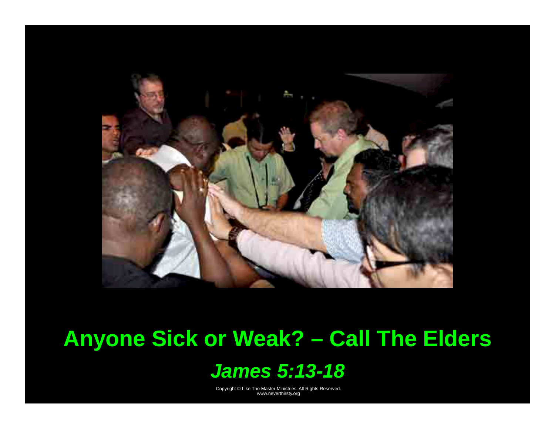

## **Anyone Sick or Weak? – Call The Elders**

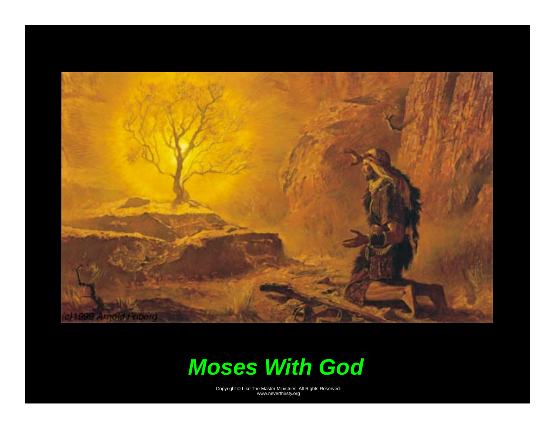

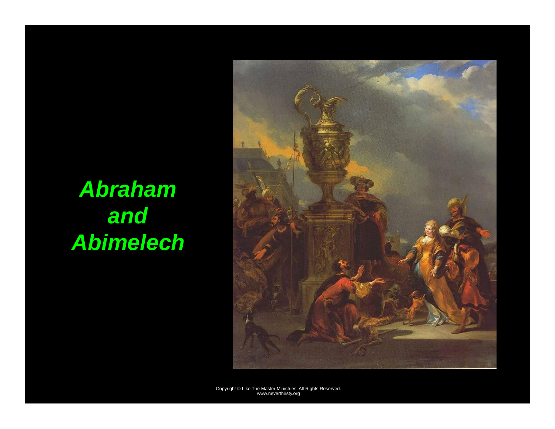# *Abraham and Abimelech*

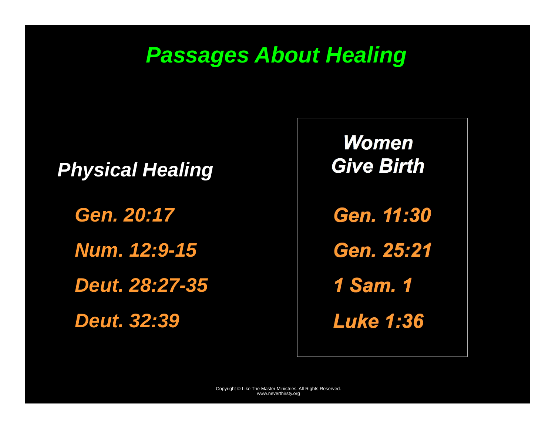## *Passages About Healing*

#### *Physical Healing*

*Gen. 20:17* 

*Num. 12:9-15* 

*Deut. 28:27-35* 

*Deut. 32:39* 

*Gen. 11:30 Gen. 25:21 1 Sam. 1 Women Give Birth* 

*Luke 1:36*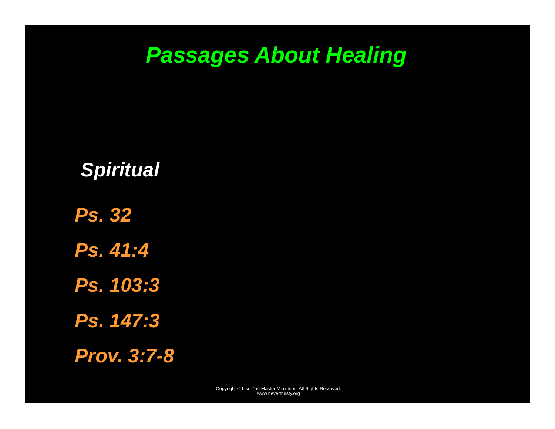## *Passages About Healing*

#### *Spiritual*

*Ps. 32 Ps. 41:4 Ps. 103:3 Ps. 147:3 Prov. 3:7-8*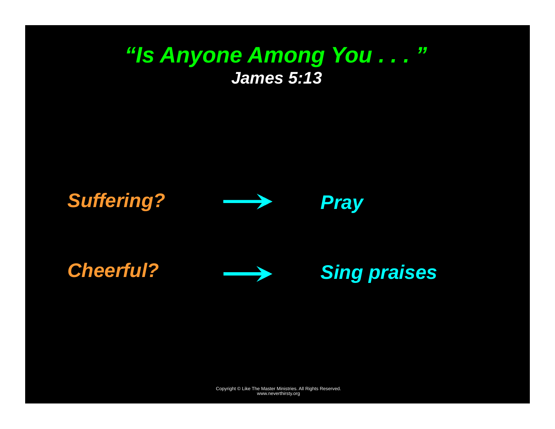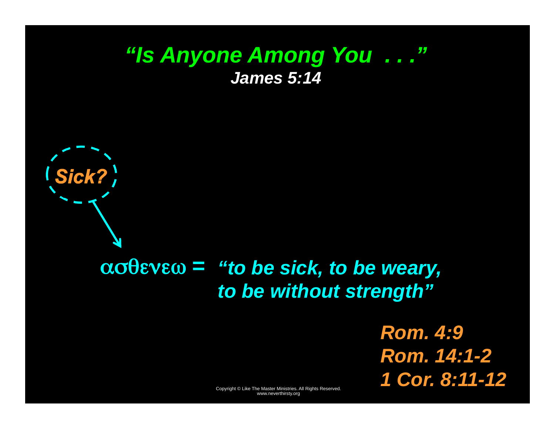### *"Is Anyone Among You . . ." James 5:14*



*Sick?* 

*Rom. 4:9 Rom. 14:1-2 1 Cor. 8:11-12*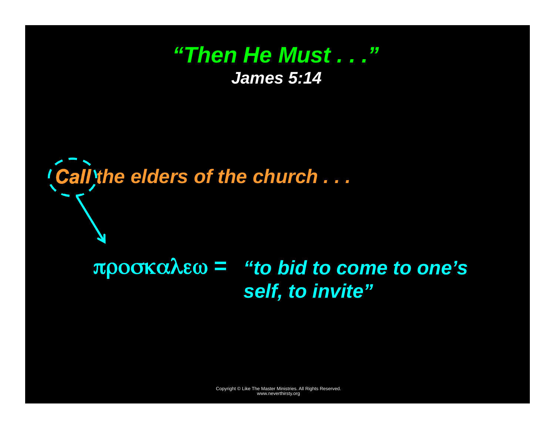### *"Then He Must . . ." James 5:14*

*Call the elders of the church . . .* 

## *"to bid to come to one's*  προσκαλεω *<sup>=</sup> self, to invite"*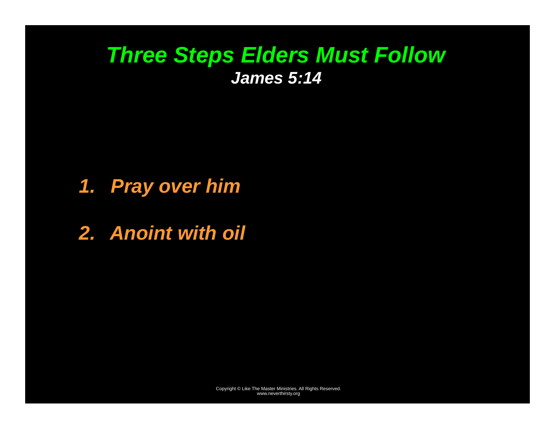## *Three Steps Elders Must Follow James 5:14*

### *1. Pray over him*

*2. Anoint with oil*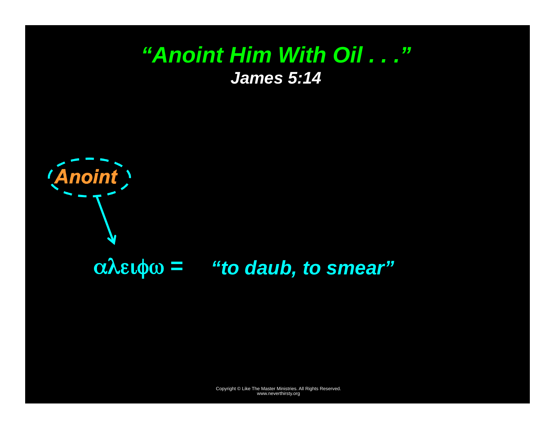### *"Anoint Him With Oil . . ." James 5:14*



## αλειφω *<sup>=</sup>"to daub, to smear"*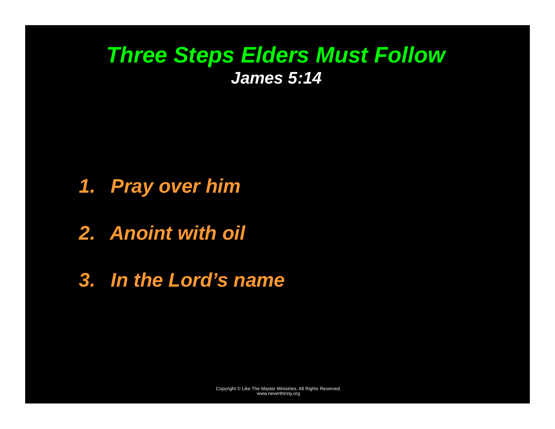## *Three Steps Elders Must Follow James 5:14*

- *1. Pray over him*
- *2. Anoint with oil*
- *3. In the Lord's name*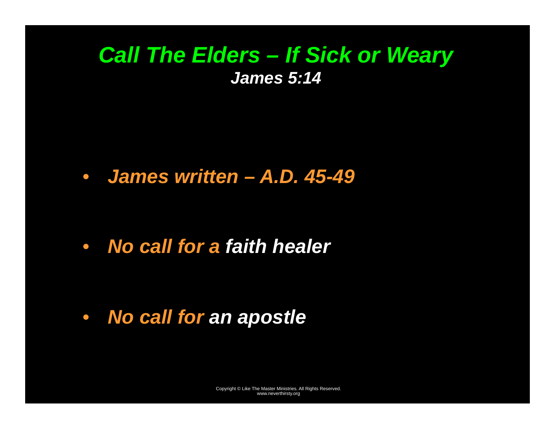## *Call The Elders – If Sick or Weary James 5:14*

• *James written – A.D. 45-49* 

• *No call for a faith healer* 

• *No call for an apostle*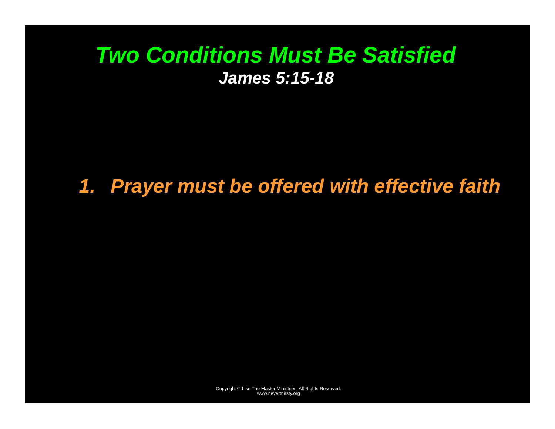## *Two Conditions Must Be Satisfied James 5:15-18*

## *1. Prayer must be offered with effective faith*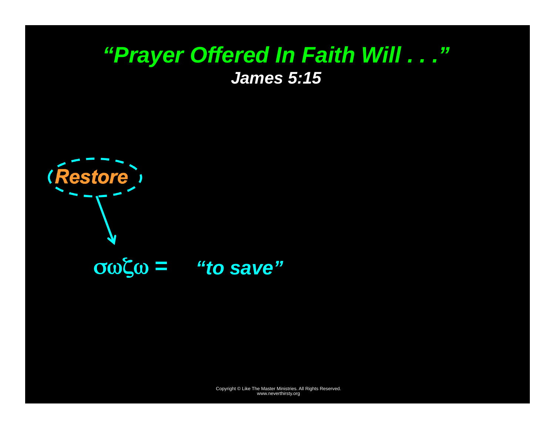



σωζω *<sup>=</sup>"to save"*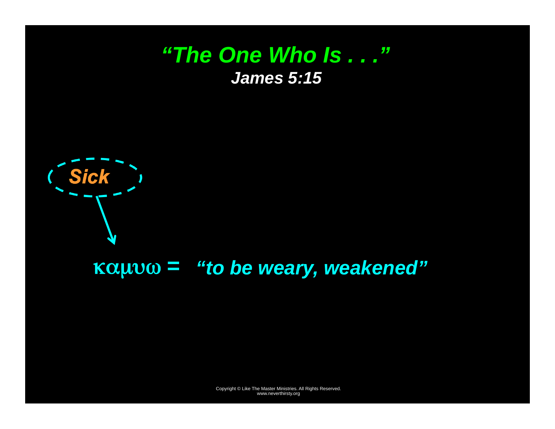#### *"The One Who Is . . ." James 5:15*



#### καμυω *<sup>=</sup>"to be weary, weakened"*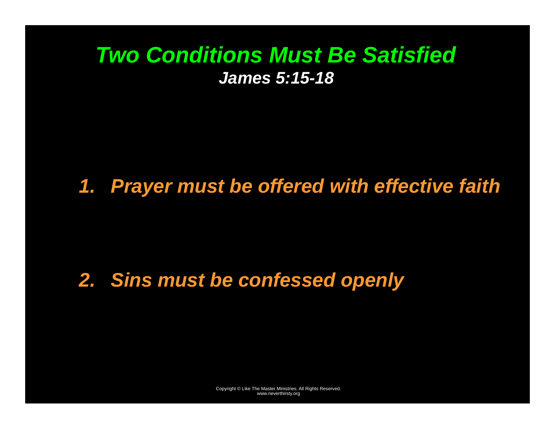## *Two Conditions Must Be Satisfied James 5:15-18*

## *1. Prayer must be offered with effective faith*

## *2. Sins must be confessed openly*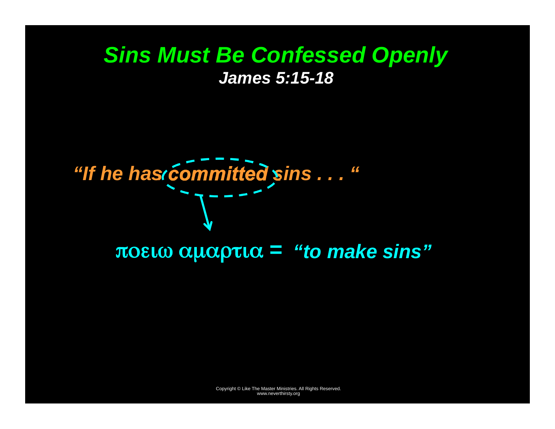### *Sins Must Be Confessed Openly James 5:15-18*

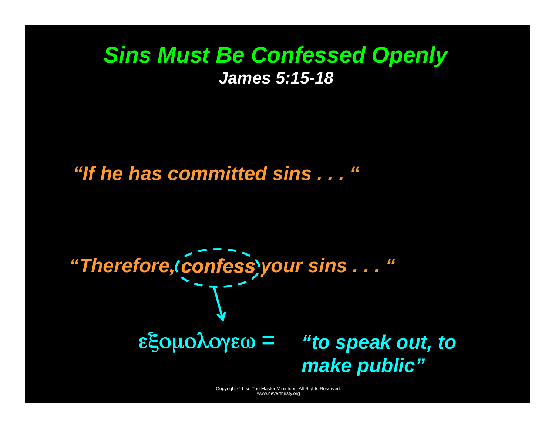#### *Sins Must Be Confessed Openly James 5:15-18*

*"If he has committed sins . . . "* 

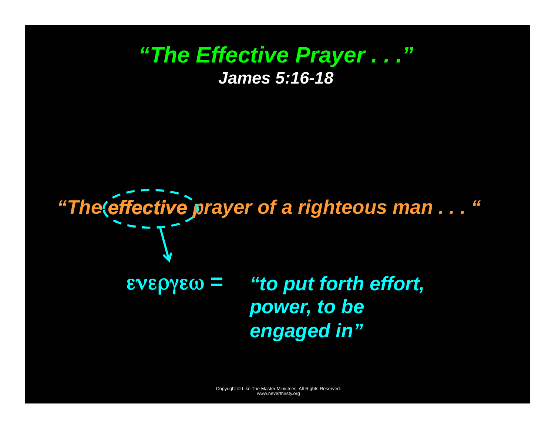#### *"The Effective Prayer . . ." James 5:16-18*

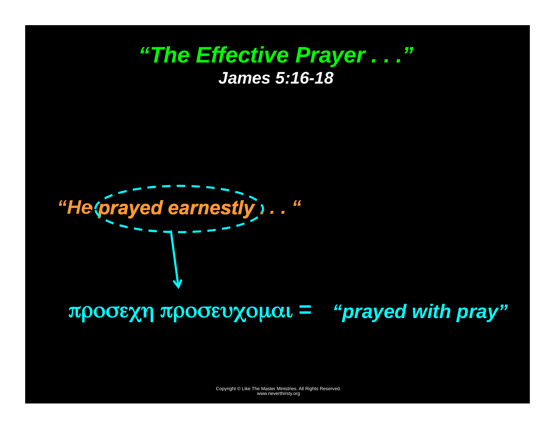#### *"The Effective Prayer . . ." James 5:16-18*

*"He prayed earnestly . . . "* 

## προσεχη προσευχομαι *<sup>=</sup>"prayed with pray"*